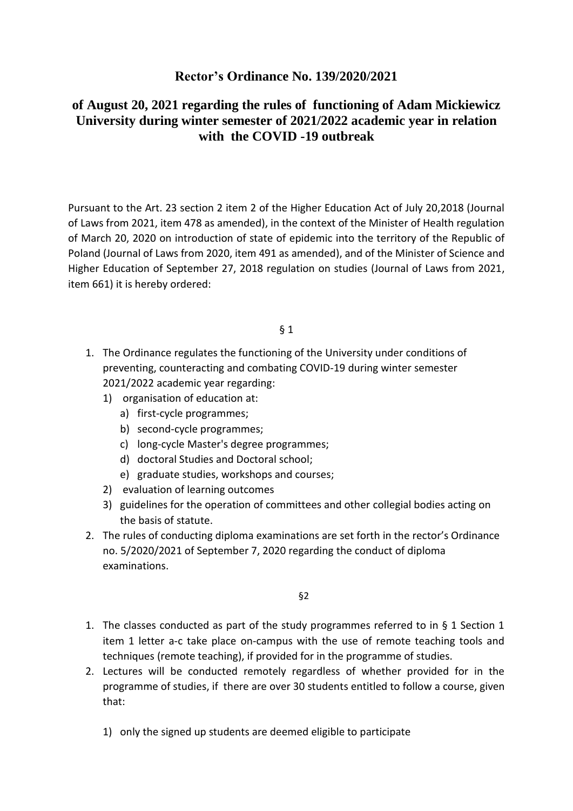# **Rector's Ordinance No. 139/2020/2021**

# **of August 20, 2021 regarding the rules of functioning of Adam Mickiewicz University during winter semester of 2021/2022 academic year in relation with the COVID -19 outbreak**

Pursuant to the Art. 23 section 2 item 2 of the Higher Education Act of July 20,2018 (Journal of Laws from 2021, item 478 as amended), in the context of the Minister of Health regulation of March 20, 2020 on introduction of state of epidemic into the territory of the Republic of Poland (Journal of Laws from 2020, item 491 as amended), and of the Minister of Science and Higher Education of September 27, 2018 regulation on studies (Journal of Laws from 2021, item 661) it is hereby ordered:

#### § 1

- 1. The Ordinance regulates the functioning of the University under conditions of preventing, counteracting and combating COVID-19 during winter semester 2021/2022 academic year regarding:
	- 1) organisation of education at:
		- a) first-cycle programmes;
		- b) second-cycle programmes;
		- c) long-cycle Master's degree programmes;
		- d) doctoral Studies and Doctoral school;
		- e) graduate studies, workshops and courses;
	- 2) evaluation of learning outcomes
	- 3) guidelines for the operation of committees and other collegial bodies acting on the basis of statute.
- 2. The rules of conducting diploma examinations are set forth in the rector's Ordinance no. 5/2020/2021 of September 7, 2020 regarding the conduct of diploma examinations.

§2

- 1. The classes conducted as part of the study programmes referred to in § 1 Section 1 item 1 letter a-c take place on-campus with the use of remote teaching tools and techniques (remote teaching), if provided for in the programme of studies.
- 2. Lectures will be conducted remotely regardless of whether provided for in the programme of studies, if there are over 30 students entitled to follow a course, given that:
	- 1) only the signed up students are deemed eligible to participate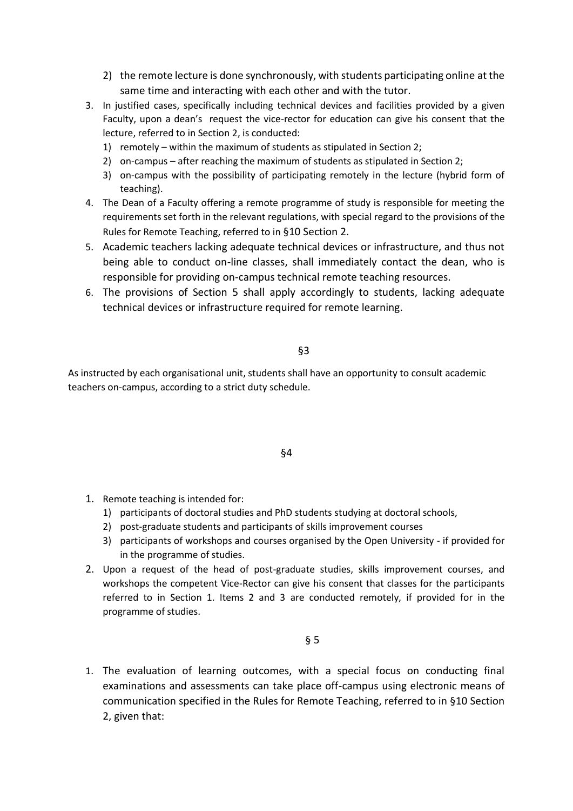- 2) the remote lecture is done synchronously, with students participating online at the same time and interacting with each other and with the tutor.
- 3. In justified cases, specifically including technical devices and facilities provided by a given Faculty, upon a dean's request the vice-rector for education can give his consent that the lecture, referred to in Section 2, is conducted:
	- 1) remotely within the maximum of students as stipulated in Section 2;
	- 2) on-campus after reaching the maximum of students as stipulated in Section 2;
	- 3) on-campus with the possibility of participating remotely in the lecture (hybrid form of teaching).
- 4. The Dean of a Faculty offering a remote programme of study is responsible for meeting the requirements set forth in the relevant regulations, with special regard to the provisions of the Rules for Remote Teaching, referred to in §10 Section 2.
- 5. Academic teachers lacking adequate technical devices or infrastructure, and thus not being able to conduct on-line classes, shall immediately contact the dean, who is responsible for providing on-campus technical remote teaching resources.
- 6. The provisions of Section 5 shall apply accordingly to students, lacking adequate technical devices or infrastructure required for remote learning.

§3

As instructed by each organisational unit, students shall have an opportunity to consult academic teachers on-campus, according to a strict duty schedule.

§4

- 1. Remote teaching is intended for:
	- 1) participants of doctoral studies and PhD students studying at doctoral schools,
	- 2) post-graduate students and participants of skills improvement courses
	- 3) participants of workshops and courses organised by the Open University if provided for in the programme of studies.
- 2. Upon a request of the head of post-graduate studies, skills improvement courses, and workshops the competent Vice-Rector can give his consent that classes for the participants referred to in Section 1. Items 2 and 3 are conducted remotely, if provided for in the programme of studies.

§ 5

1. The evaluation of learning outcomes, with a special focus on conducting final examinations and assessments can take place off-campus using electronic means of communication specified in the Rules for Remote Teaching, referred to in §10 Section 2, given that: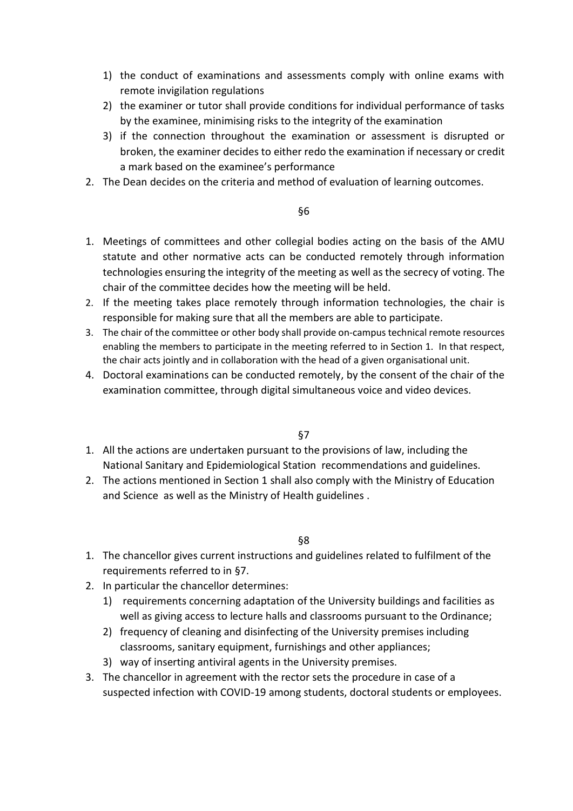- 1) the conduct of examinations and assessments comply with online exams with remote invigilation regulations
- 2) the examiner or tutor shall provide conditions for individual performance of tasks by the examinee, minimising risks to the integrity of the examination
- 3) if the connection throughout the examination or assessment is disrupted or broken, the examiner decides to either redo the examination if necessary or credit a mark based on the examinee's performance
- 2. The Dean decides on the criteria and method of evaluation of learning outcomes.

## §6

- 1. Meetings of committees and other collegial bodies acting on the basis of the AMU statute and other normative acts can be conducted remotely through information technologies ensuring the integrity of the meeting as well as the secrecy of voting. The chair of the committee decides how the meeting will be held.
- 2. If the meeting takes place remotely through information technologies, the chair is responsible for making sure that all the members are able to participate.
- 3. The chair of the committee or other body shall provide on-campus technical remote resources enabling the members to participate in the meeting referred to in Section 1. In that respect, the chair acts jointly and in collaboration with the head of a given organisational unit.
- 4. Doctoral examinations can be conducted remotely, by the consent of the chair of the examination committee, through digital simultaneous voice and video devices.

## §7

- 1. All the actions are undertaken pursuant to the provisions of law, including the National Sanitary and Epidemiological Station recommendations and guidelines.
- 2. The actions mentioned in Section 1 shall also comply with the Ministry of Education and Science as well as the Ministry of Health guidelines .

## §8

- 1. The chancellor gives current instructions and guidelines related to fulfilment of the requirements referred to in §7.
- 2. In particular the chancellor determines:
	- 1) requirements concerning adaptation of the University buildings and facilities as well as giving access to lecture halls and classrooms pursuant to the Ordinance;
	- 2) frequency of cleaning and disinfecting of the University premises including classrooms, sanitary equipment, furnishings and other appliances;
	- 3) way of inserting antiviral agents in the University premises.
- 3. The chancellor in agreement with the rector sets the procedure in case of a suspected infection with COVID-19 among students, doctoral students or employees.